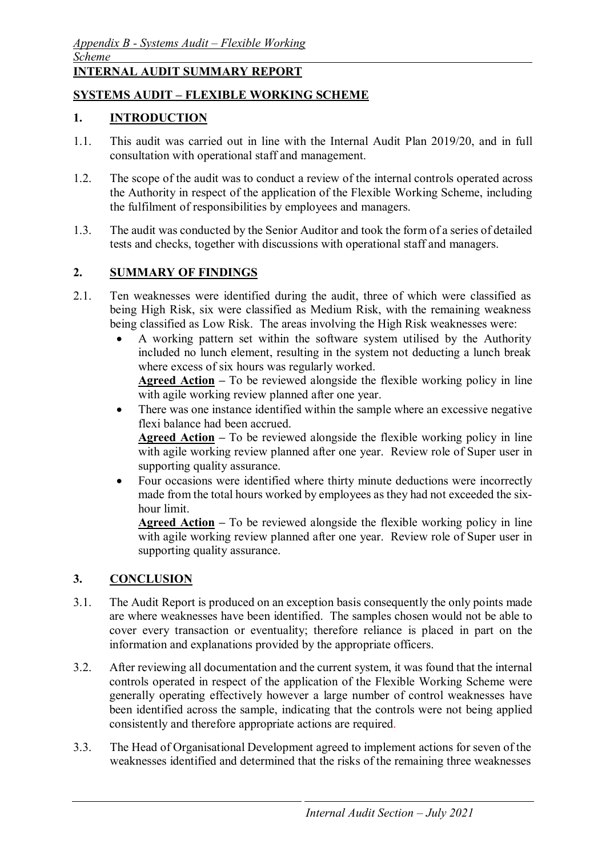# **INTERNAL AUDIT SUMMARY REPORT**

# **SYSTEMS AUDIT – FLEXIBLE WORKING SCHEME**

#### **1. INTRODUCTION**

- 1.1. This audit was carried out in line with the Internal Audit Plan 2019/20, and in full consultation with operational staff and management.
- 1.2. The scope of the audit was to conduct a review of the internal controls operated across the Authority in respect of the application of the Flexible Working Scheme, including the fulfilment of responsibilities by employees and managers.
- 1.3. The audit was conducted by the Senior Auditor and took the form of a series of detailed tests and checks, together with discussions with operational staff and managers.

#### **2. SUMMARY OF FINDINGS**

- 2.1. Ten weaknesses were identified during the audit, three of which were classified as being High Risk, six were classified as Medium Risk, with the remaining weakness being classified as Low Risk. The areas involving the High Risk weaknesses were:
	- A working pattern set within the software system utilised by the Authority included no lunch element, resulting in the system not deducting a lunch break where excess of six hours was regularly worked.

**Agreed Action –** To be reviewed alongside the flexible working policy in line with agile working review planned after one year.

• There was one instance identified within the sample where an excessive negative flexi balance had been accrued.

**Agreed Action –** To be reviewed alongside the flexible working policy in line with agile working review planned after one year. Review role of Super user in supporting quality assurance.

• Four occasions were identified where thirty minute deductions were incorrectly made from the total hours worked by employees as they had not exceeded the sixhour limit.

**Agreed Action –** To be reviewed alongside the flexible working policy in line with agile working review planned after one year. Review role of Super user in supporting quality assurance.

## **3. CONCLUSION**

- 3.1. The Audit Report is produced on an exception basis consequently the only points made are where weaknesses have been identified. The samples chosen would not be able to cover every transaction or eventuality; therefore reliance is placed in part on the information and explanations provided by the appropriate officers.
- 3.2. After reviewing all documentation and the current system, it was found that the internal controls operated in respect of the application of the Flexible Working Scheme were generally operating effectively however a large number of control weaknesses have been identified across the sample, indicating that the controls were not being applied consistently and therefore appropriate actions are required.
- 3.3. The Head of Organisational Development agreed to implement actions for seven of the weaknesses identified and determined that the risks of the remaining three weaknesses